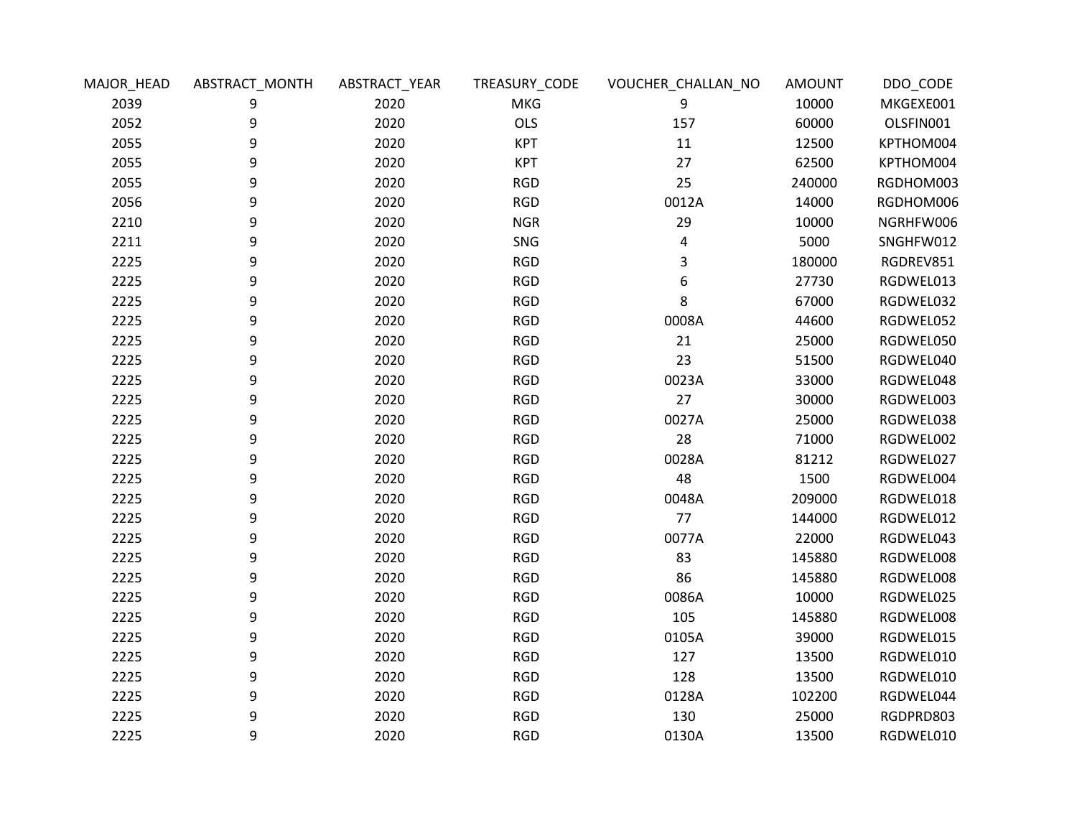| MAJOR_HEAD | ABSTRACT_MONTH | ABSTRACT_YEAR | TREASURY_CODE | VOUCHER_CHALLAN_NO | <b>AMOUNT</b> | DDO_CODE  |
|------------|----------------|---------------|---------------|--------------------|---------------|-----------|
| 2039       | 9              | 2020          | <b>MKG</b>    | 9                  | 10000         | MKGEXE001 |
| 2052       | 9              | 2020          | <b>OLS</b>    | 157                | 60000         | OLSFIN001 |
| 2055       | 9              | 2020          | <b>KPT</b>    | $11\,$             | 12500         | KPTHOM004 |
| 2055       | 9              | 2020          | <b>KPT</b>    | 27                 | 62500         | KPTHOM004 |
| 2055       | 9              | 2020          | <b>RGD</b>    | 25                 | 240000        | RGDHOM003 |
| 2056       | 9              | 2020          | <b>RGD</b>    | 0012A              | 14000         | RGDHOM006 |
| 2210       | 9              | 2020          | <b>NGR</b>    | 29                 | 10000         | NGRHFW006 |
| 2211       | 9              | 2020          | SNG           | 4                  | 5000          | SNGHFW012 |
| 2225       | 9              | 2020          | <b>RGD</b>    | 3                  | 180000        | RGDREV851 |
| 2225       | 9              | 2020          | <b>RGD</b>    | 6                  | 27730         | RGDWEL013 |
| 2225       | 9              | 2020          | <b>RGD</b>    | 8                  | 67000         | RGDWEL032 |
| 2225       | 9              | 2020          | <b>RGD</b>    | 0008A              | 44600         | RGDWEL052 |
| 2225       | 9              | 2020          | <b>RGD</b>    | 21                 | 25000         | RGDWEL050 |
| 2225       | 9              | 2020          | <b>RGD</b>    | 23                 | 51500         | RGDWEL040 |
| 2225       | 9              | 2020          | <b>RGD</b>    | 0023A              | 33000         | RGDWEL048 |
| 2225       | 9              | 2020          | <b>RGD</b>    | 27                 | 30000         | RGDWEL003 |
| 2225       | 9              | 2020          | <b>RGD</b>    | 0027A              | 25000         | RGDWEL038 |
| 2225       | 9              | 2020          | <b>RGD</b>    | 28                 | 71000         | RGDWEL002 |
| 2225       | 9              | 2020          | <b>RGD</b>    | 0028A              | 81212         | RGDWEL027 |
| 2225       | 9              | 2020          | <b>RGD</b>    | 48                 | 1500          | RGDWEL004 |
| 2225       | 9              | 2020          | <b>RGD</b>    | 0048A              | 209000        | RGDWEL018 |
| 2225       | 9              | 2020          | <b>RGD</b>    | 77                 | 144000        | RGDWEL012 |
| 2225       | 9              | 2020          | <b>RGD</b>    | 0077A              | 22000         | RGDWEL043 |
| 2225       | 9              | 2020          | <b>RGD</b>    | 83                 | 145880        | RGDWEL008 |
| 2225       | 9              | 2020          | <b>RGD</b>    | 86                 | 145880        | RGDWEL008 |
| 2225       | 9              | 2020          | <b>RGD</b>    | 0086A              | 10000         | RGDWEL025 |
| 2225       | 9              | 2020          | <b>RGD</b>    | 105                | 145880        | RGDWEL008 |
| 2225       | 9              | 2020          | <b>RGD</b>    | 0105A              | 39000         | RGDWEL015 |
| 2225       | 9              | 2020          | <b>RGD</b>    | 127                | 13500         | RGDWEL010 |
| 2225       | 9              | 2020          | <b>RGD</b>    | 128                | 13500         | RGDWEL010 |
| 2225       | 9              | 2020          | <b>RGD</b>    | 0128A              | 102200        | RGDWEL044 |
| 2225       | 9              | 2020          | <b>RGD</b>    | 130                | 25000         | RGDPRD803 |
| 2225       | 9              | 2020          | <b>RGD</b>    | 0130A              | 13500         | RGDWEL010 |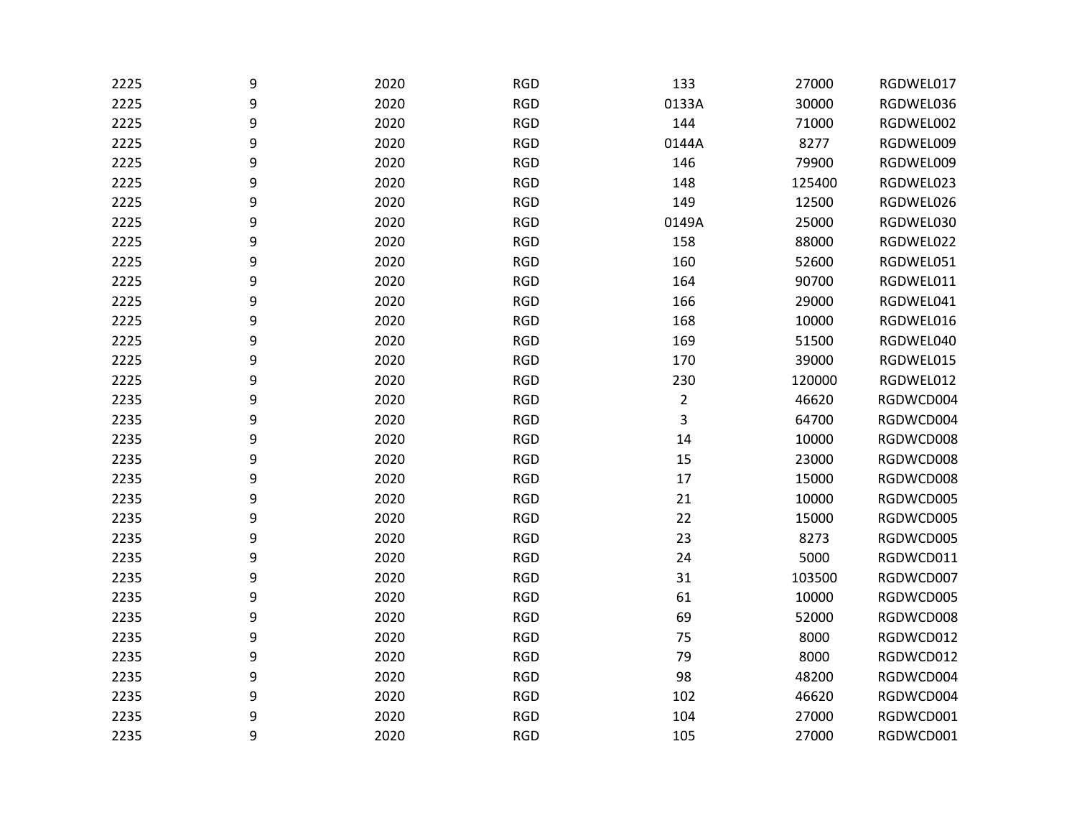| 2225 | 9 | 2020 | <b>RGD</b> | 133            | 27000  | RGDWEL017 |
|------|---|------|------------|----------------|--------|-----------|
| 2225 | 9 | 2020 | <b>RGD</b> | 0133A          | 30000  | RGDWEL036 |
| 2225 | 9 | 2020 | <b>RGD</b> | 144            | 71000  | RGDWEL002 |
| 2225 | 9 | 2020 | <b>RGD</b> | 0144A          | 8277   | RGDWEL009 |
| 2225 | 9 | 2020 | <b>RGD</b> | 146            | 79900  | RGDWEL009 |
| 2225 | 9 | 2020 | <b>RGD</b> | 148            | 125400 | RGDWEL023 |
| 2225 | 9 | 2020 | <b>RGD</b> | 149            | 12500  | RGDWEL026 |
| 2225 | 9 | 2020 | <b>RGD</b> | 0149A          | 25000  | RGDWEL030 |
| 2225 | 9 | 2020 | <b>RGD</b> | 158            | 88000  | RGDWEL022 |
| 2225 | 9 | 2020 | <b>RGD</b> | 160            | 52600  | RGDWEL051 |
| 2225 | 9 | 2020 | <b>RGD</b> | 164            | 90700  | RGDWEL011 |
| 2225 | 9 | 2020 | <b>RGD</b> | 166            | 29000  | RGDWEL041 |
| 2225 | 9 | 2020 | <b>RGD</b> | 168            | 10000  | RGDWEL016 |
| 2225 | 9 | 2020 | <b>RGD</b> | 169            | 51500  | RGDWEL040 |
| 2225 | 9 | 2020 | <b>RGD</b> | 170            | 39000  | RGDWEL015 |
| 2225 | 9 | 2020 | <b>RGD</b> | 230            | 120000 | RGDWEL012 |
| 2235 | 9 | 2020 | <b>RGD</b> | $\overline{2}$ | 46620  | RGDWCD004 |
| 2235 | 9 | 2020 | <b>RGD</b> | 3              | 64700  | RGDWCD004 |
| 2235 | 9 | 2020 | <b>RGD</b> | $14\,$         | 10000  | RGDWCD008 |
| 2235 | 9 | 2020 | <b>RGD</b> | 15             | 23000  | RGDWCD008 |
| 2235 | 9 | 2020 | <b>RGD</b> | $17\,$         | 15000  | RGDWCD008 |
| 2235 | 9 | 2020 | <b>RGD</b> | 21             | 10000  | RGDWCD005 |
| 2235 | 9 | 2020 | <b>RGD</b> | 22             | 15000  | RGDWCD005 |
| 2235 | 9 | 2020 | <b>RGD</b> | 23             | 8273   | RGDWCD005 |
| 2235 | 9 | 2020 | <b>RGD</b> | 24             | 5000   | RGDWCD011 |
| 2235 | 9 | 2020 | <b>RGD</b> | 31             | 103500 | RGDWCD007 |
| 2235 | 9 | 2020 | <b>RGD</b> | 61             | 10000  | RGDWCD005 |
| 2235 | 9 | 2020 | <b>RGD</b> | 69             | 52000  | RGDWCD008 |
| 2235 | 9 | 2020 | <b>RGD</b> | 75             | 8000   | RGDWCD012 |
| 2235 | 9 | 2020 | <b>RGD</b> | 79             | 8000   | RGDWCD012 |
| 2235 | 9 | 2020 | <b>RGD</b> | 98             | 48200  | RGDWCD004 |
| 2235 | 9 | 2020 | <b>RGD</b> | 102            | 46620  | RGDWCD004 |
| 2235 | 9 | 2020 | <b>RGD</b> | 104            | 27000  | RGDWCD001 |
| 2235 | 9 | 2020 | <b>RGD</b> | 105            | 27000  | RGDWCD001 |